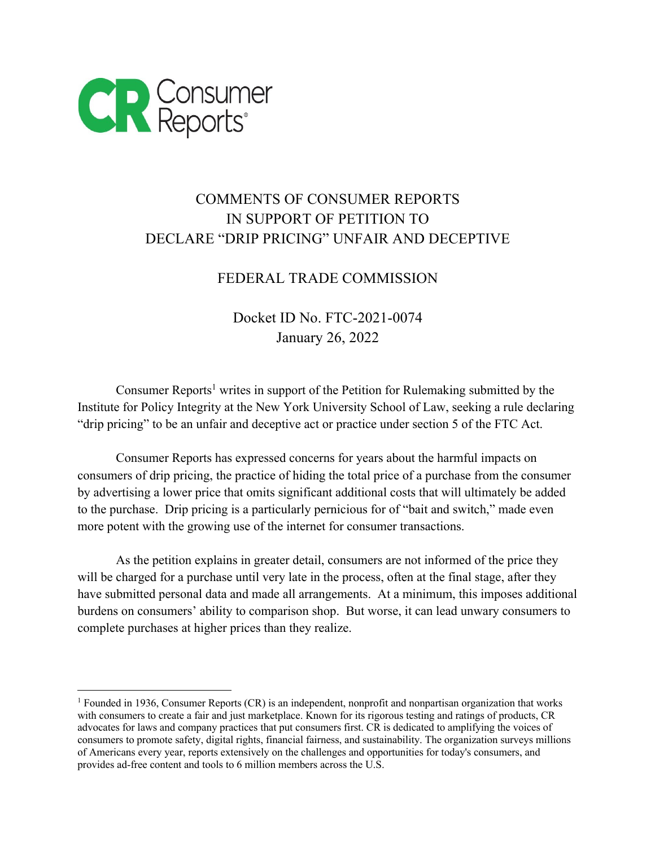

## COMMENTS OF CONSUMER REPORTS IN SUPPORT OF PETITION TO DECLARE "DRIP PRICING" UNFAIR AND DECEPTIVE

## FEDERAL TRADE COMMISSION

Docket ID No. FTC-2021-0074 January 26, 2022

Consumer Reports<sup>1</sup> writes in support of the Petition for Rulemaking submitted by the Institute for Policy Integrity at the New York University School of Law, seeking a rule declaring "drip pricing" to be an unfair and deceptive act or practice under section 5 of the FTC Act.

Consumer Reports has expressed concerns for years about the harmful impacts on consumers of drip pricing, the practice of hiding the total price of a purchase from the consumer by advertising a lower price that omits significant additional costs that will ultimately be added to the purchase. Drip pricing is a particularly pernicious for of "bait and switch," made even more potent with the growing use of the internet for consumer transactions.

As the petition explains in greater detail, consumers are not informed of the price they will be charged for a purchase until very late in the process, often at the final stage, after they have submitted personal data and made all arrangements. At a minimum, this imposes additional burdens on consumers' ability to comparison shop. But worse, it can lead unwary consumers to complete purchases at higher prices than they realize.

<sup>1</sup> Founded in 1936, Consumer Reports (CR) is an independent, nonprofit and nonpartisan organization that works with consumers to create a fair and just marketplace. Known for its rigorous testing and ratings of products, CR advocates for laws and company practices that put consumers first. CR is dedicated to amplifying the voices of consumers to promote safety, digital rights, financial fairness, and sustainability. The organization surveys millions of Americans every year, reports extensively on the challenges and opportunities for today's consumers, and provides ad-free content and tools to 6 million members across the U.S.